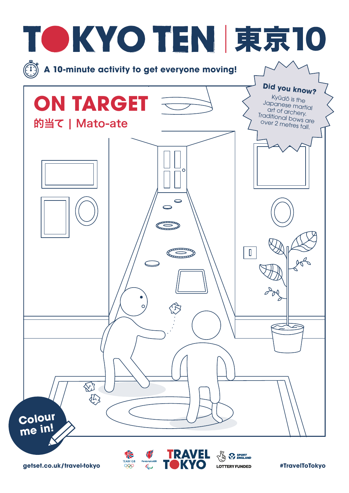